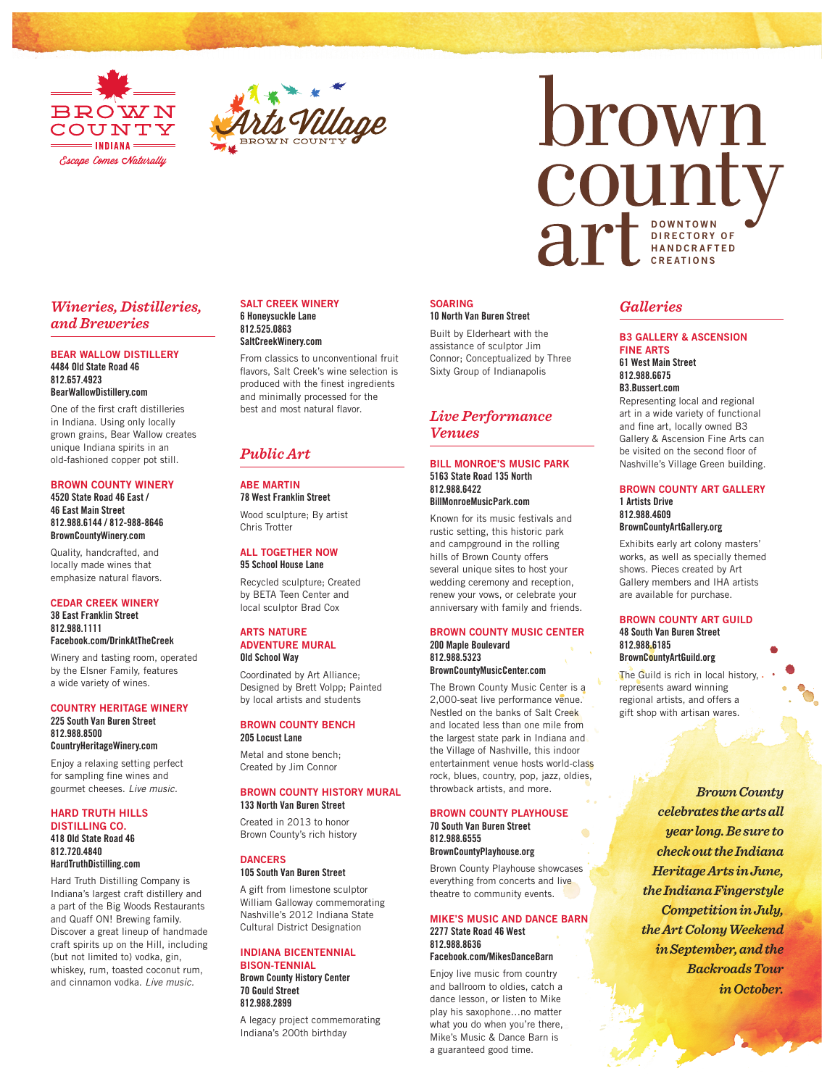



# brown county arecross DIRECTORY OF H A N D C R A F T E D CREATIONS

# *Wineries, Distilleries, and Breweries*

#### BEAR WALLOW DISTILLERY 4484 Old State Road 46 812.657.4923 BearWallowDistillery.com

One of the first craft distilleries in Indiana. Using only locally grown grains, Bear Wallow creates unique Indiana spirits in an old-fashioned copper pot still.

### BROWN COUNTY WINERY

## 4520 State Road 46 East / 46 East Main Street 812.988.6144 / 812-988-8646 BrownCountyWinery.com

Quality, handcrafted, and locally made wines that emphasize natural flavors.

#### CEDAR CREEK WINERY 38 East Franklin Street 812.988.1111 Facebook.com/DrinkAtTheCreek

Winery and tasting room, operated by the Elsner Family, features a wide variety of wines.

#### COUNTRY HERITAGE WINERY 225 South Van Buren Street 812.988.8500 CountryHeritageWinery.com

Enjoy a relaxing setting perfect for sampling fine wines and gourmet cheeses. *Live music.*

#### HARD TRUTH HILLS DISTILLING CO. 418 Old State Road 46 812.720.4840 HardTruthDistilling.com

Hard Truth Distilling Company is Indiana's largest craft distillery and a part of the Big Woods Restaurants and Quaff ON! Brewing family. Discover a great lineup of handmade craft spirits up on the Hill, including (but not limited to) vodka, gin, whiskey, rum, toasted coconut rum, and cinnamon vodka. *Live music.*

#### SALT CREEK WINERY 6 Honeysuckle Lane 812.525.0863

## SaltCreekWinery.com

From classics to unconventional fruit flavors, Salt Creek's wine selection is produced with the finest ingredients and minimally processed for the best and most natural flavor.

# *Public Art*

# ABE MARTIN 78 West Franklin Street

Wood sculpture; By artist Chris Trotter

# ALL TOGETHER NOW 95 School House Lane

Recycled sculpture; Created by BETA Teen Center and local sculptor Brad Cox

#### ARTS NATURE ADVENTURE MURAL Old School Way

Coordinated by Art Alliance; Designed by Brett Volpp; Painted by local artists and students

#### BROWN COUNTY BENCH 205 Locust Lane

Metal and stone bench; Created by Jim Connor

## BROWN COUNTY HISTORY MURAL 133 North Van Buren Street

Created in 2013 to honor Brown County's rich history

#### DANCERS 105 South Van Buren Street

A gift from limestone sculptor William Galloway commemorating Nashville's 2012 Indiana State Cultural District Designation

#### INDIANA BICENTENNIAL BISON-TENNIAL

Brown County History Center 70 Gould Street 812.988.2899

A legacy project commemorating Indiana's 200th birthday

#### SOARING 10 North Van Buren Street

Built by Elderheart with the assistance of sculptor Jim Connor; Conceptualized by Three Sixty Group of Indianapolis

# *Live Performance Venues*

#### BILL MONROE'S MUSIC PARK 5163 State Road 135 North 812.988.6422 BillMonroeMusicPark.com

Known for its music festivals and rustic setting, this historic park and campground in the rolling hills of Brown County offers several unique sites to host your wedding ceremony and reception, renew your vows, or celebrate your anniversary with family and friends.

#### BROWN COUNTY MUSIC CENTER 200 Maple Boulevard 812.988.5323 BrownCountyMusicCenter.com

The Brown County Music Center is a 2,000-seat live performance venue. Nestled on the banks of Salt Creek and located less than one mile from the largest state park in Indiana and the Village of Nashville, this indoor entertainment venue hosts world-class rock, blues, country, pop, jazz, oldies, throwback artists, and more.

# BROWN COUNTY PLAYHOUSE

70 South Van Buren Street 812.988.6555 BrownCountyPlayhouse.org

Brown County Playhouse showcases everything from concerts and live theatre to community events.

# MIKE'S MUSIC AND DANCE BARN 2277 State Road 46 West 812.988.8636

Facebook.com/MikesDanceBarn

Enjoy live music from country and ballroom to oldies, catch a dance lesson, or listen to Mike play his saxophone…no matter what you do when you're there, Mike's Music & Dance Barn is a guaranteed good time.

# *Galleries*

#### B3 GALLERY & ASCENSION FINE ARTS 61 West Main Street

812.988.6675 B3.Bussert.com

Representing local and regional art in a wide variety of functional and fine art, locally owned B3 Gallery & Ascension Fine Arts can be visited on the second floor of Nashville's Village Green building.

#### BROWN COUNTY ART GALLERY 1 Artists Drive 812.988.4609 BrownCountyArtGallery.org

Exhibits early art colony masters' works, as well as specially themed shows. Pieces created by Art Gallery members and IHA artists are available for purchase.

#### BROWN COUNTY ART GUILD 48 South Van Buren Street 812.988.6185 BrownCountyArtGuild.org

The Guild is rich in local history, . represents award winning regional artists, and offers a gift shop with artisan wares.

> *Brown County celebrates the arts all year long. Be sure to check out the Indiana Heritage Arts in June, the Indiana Fingerstyle Competition in July, the Art Colony Weekend in September, and the Backroads Tour in October.*